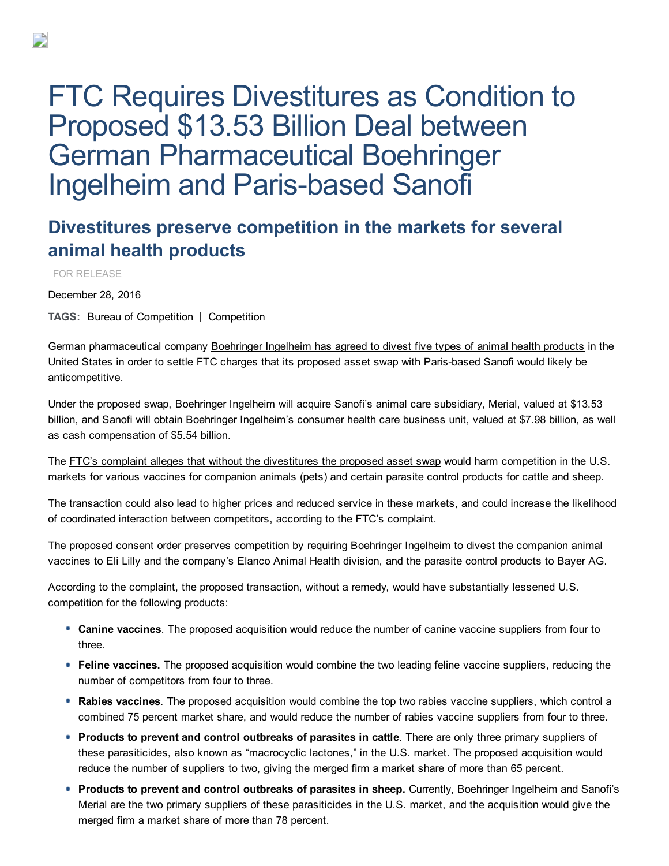## FTC Requires Divestitures as Condition to Proposed \$13.53 Billion Deal between German Pharmaceutical Boehringer **Ingelheim and Paris-based Sanofi**

## Divestitures preserve competition in the markets for several animal health products

FOR RELEASE

December 28, 2016

TAGS: Bureau of [Competition](file:///C:/mission/competition) | Competition

German pharmaceutical company [Boehringer](https://www.ftc.gov/system/files/documents/cases/1610077_bi-sanofi_agreement.pdf) Ingelheim has agreed to divest five types of animal health products in the United States in order to settle FTC charges that its proposed asset swap with Paris-based Sanofi would likely be anticompetitive.

Under the proposed swap, Boehringer Ingelheim will acquire Sanofi's animal care subsidiary, Merial, valued at \$13.53 billion, and Sanofi will obtain Boehringer Ingelheim's consumer health care business unit, valued at \$7.98 billion, as well as cash compensation of \$5.54 billion.

The FTC's complaint alleges that without the [divestitures](https://www.ftc.gov/system/files/documents/cases/1610077_bi-sanofi_complaint.pdf) the proposed asset swap would harm competition in the U.S. markets for various vaccines for companion animals (pets) and certain parasite control products for cattle and sheep.

The transaction could also lead to higher prices and reduced service in these markets, and could increase the likelihood of coordinated interaction between competitors, according to the FTC's complaint.

The proposed consent order preserves competition by requiring Boehringer Ingelheim to divest the companion animal vaccines to Eli Lilly and the company's Elanco Animal Health division, and the parasite control products to Bayer AG.

According to the complaint, the proposed transaction, without a remedy, would have substantially lessened U.S. competition for the following products:

- **Canine vaccines**. The proposed acquisition would reduce the number of canine vaccine suppliers from four to three.
- **Feline vaccines.** The proposed acquisition would combine the two leading feline vaccine suppliers, reducing the number of competitors from four to three.
- Rabies vaccines. The proposed acquisition would combine the top two rabies vaccine suppliers, which control a combined 75 percent market share, and would reduce the number of rabies vaccine suppliers from four to three.
- **Products to prevent and control outbreaks of parasites in cattle**. There are only three primary suppliers of these parasiticides, also known as "macrocyclic lactones," in the U.S. market. The proposed acquisition would reduce the number of suppliers to two, giving the merged firm a market share of more than 65 percent.
- **Products to prevent and control outbreaks of parasites in sheep.** Currently, Boehringer Ingelheim and Sanofi's Merial are the two primary suppliers of these parasiticides in the U.S. market, and the acquisition would give the merged firm a market share of more than 78 percent.